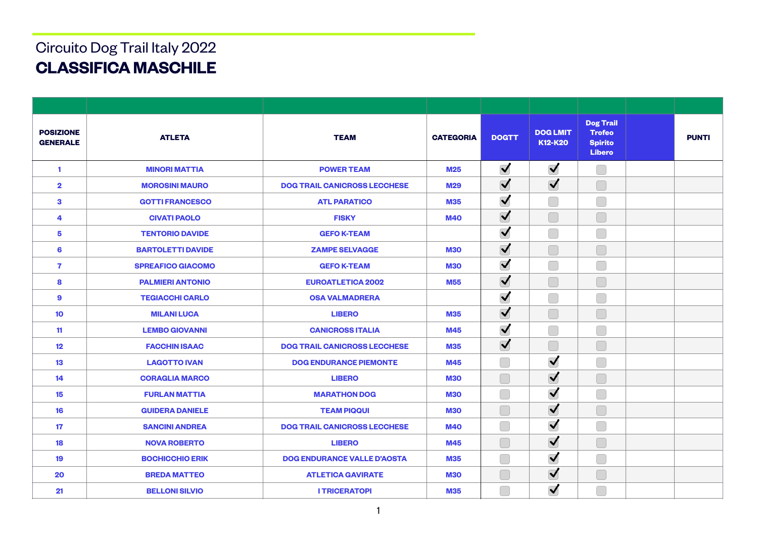## **CLASSIFICA MASCHILE**  Circuito Dog Trail Italy 2022

| <b>POSIZIONE</b><br><b>GENERALE</b> | <b>ATLETA</b>            | <b>TEAM</b>                         | <b>CATEGORIA</b> | <b>DOGTT</b>         | <b>DOG LMIT</b><br>K12-K20 | <b>Dog Trail</b><br><b>Trofeo</b><br><b>Spirito</b><br><b>Libero</b> |  | <b>PUNTI</b> |
|-------------------------------------|--------------------------|-------------------------------------|------------------|----------------------|----------------------------|----------------------------------------------------------------------|--|--------------|
| 1                                   | <b>MINORI MATTIA</b>     | <b>POWER TEAM</b>                   | <b>M25</b>       | $\blacktriangledown$ | $\blacktriangledown$       | П                                                                    |  |              |
| $\mathbf 2$                         | <b>MOROSINI MAURO</b>    | <b>DOG TRAIL CANICROSS LECCHESE</b> | <b>M29</b>       | $\blacktriangledown$ | $\blacktriangledown$       |                                                                      |  |              |
| 3                                   | <b>GOTTI FRANCESCO</b>   | <b>ATL PARATICO</b>                 | <b>M35</b>       | $\blacktriangledown$ |                            | Γ                                                                    |  |              |
| 4                                   | <b>CIVATI PAOLO</b>      | <b>FISKY</b>                        | <b>M40</b>       | $\blacktriangledown$ |                            |                                                                      |  |              |
| 5                                   | <b>TENTORIO DAVIDE</b>   | <b>GEFO K-TEAM</b>                  |                  | $\blacktriangledown$ |                            | Γ                                                                    |  |              |
| 6                                   | <b>BARTOLETTI DAVIDE</b> | <b>ZAMPE SELVAGGE</b>               | <b>M30</b>       | $\blacktriangledown$ |                            |                                                                      |  |              |
| 7                                   | <b>SPREAFICO GIACOMO</b> | <b>GEFO K-TEAM</b>                  | <b>M30</b>       | $\blacktriangledown$ |                            | T                                                                    |  |              |
| 8                                   | <b>PALMIERI ANTONIO</b>  | <b>EUROATLETICA 2002</b>            | <b>M55</b>       | $\blacktriangledown$ |                            |                                                                      |  |              |
| 9                                   | <b>TEGIACCHI CARLO</b>   | <b>OSA VALMADRERA</b>               |                  | $\blacktriangledown$ |                            | $\Box$                                                               |  |              |
| 10                                  | <b>MILANI LUCA</b>       | <b>LIBERO</b>                       | <b>M35</b>       | $\blacktriangledown$ |                            |                                                                      |  |              |
| 11                                  | <b>LEMBO GIOVANNI</b>    | <b>CANICROSS ITALIA</b>             | <b>M45</b>       | $\blacktriangledown$ |                            | Γ                                                                    |  |              |
| 12                                  | <b>FACCHIN ISAAC</b>     | <b>DOG TRAIL CANICROSS LECCHESE</b> | <b>M35</b>       | $\blacktriangledown$ | $\Box$                     | Γ                                                                    |  |              |
| 13                                  | <b>LAGOTTO IVAN</b>      | <b>DOG ENDURANCE PIEMONTE</b>       | <b>M45</b>       |                      | $\blacktriangledown$       | Ξ                                                                    |  |              |
| 14                                  | <b>CORAGLIA MARCO</b>    | <b>LIBERO</b>                       | <b>M30</b>       |                      | $\blacktriangledown$       |                                                                      |  |              |
| 15                                  | <b>FURLAN MATTIA</b>     | <b>MARATHON DOG</b>                 | <b>M30</b>       |                      | $\blacktriangledown$       | Ξ                                                                    |  |              |
| 16                                  | <b>GUIDERA DANIELE</b>   | <b>TEAM PIQQUI</b>                  | <b>M30</b>       |                      | $\blacktriangledown$       |                                                                      |  |              |
| 17                                  | <b>SANCINI ANDREA</b>    | <b>DOG TRAIL CANICROSS LECCHESE</b> | <b>M40</b>       |                      | $\blacktriangledown$       | $\Box$                                                               |  |              |
| 18                                  | <b>NOVA ROBERTO</b>      | <b>LIBERO</b>                       | <b>M45</b>       |                      | $\blacktriangledown$       | $\Box$                                                               |  |              |
| 19                                  | <b>BOCHICCHIO ERIK</b>   | <b>DOG ENDURANCE VALLE D'AOSTA</b>  | <b>M35</b>       |                      | $\blacktriangledown$       | Г                                                                    |  |              |
| 20                                  | <b>BREDA MATTEO</b>      | <b>ATLETICA GAVIRATE</b>            | <b>M30</b>       |                      | $\blacktriangledown$       |                                                                      |  |              |
| 21                                  | <b>BELLONI SILVIO</b>    | <b>I TRICERATOPI</b>                | <b>M35</b>       |                      | $\blacktriangledown$       |                                                                      |  |              |